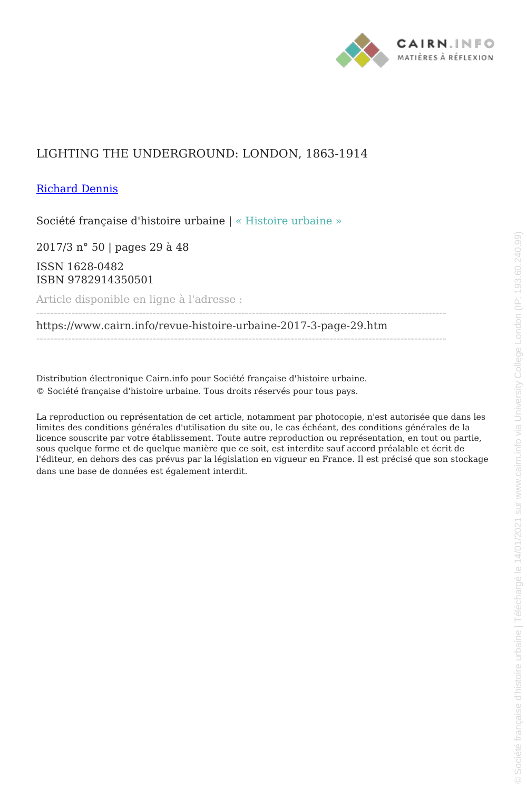

# LIGHTING THE UNDERGROUND: LONDON, 1863-1914

#### [Richard Dennis](www.cairn.info/publications-de-Richard-Dennis--677866.htm?WT.tsrc=cairnPdf)

Société française d'histoire urbaine | « Histoire urbaine »

2017/3 n° 50 | pages 29 à 48

ISSN 1628-0482 ISBN 9782914350501

Article disponible en ligne à l'adresse :

------------------------------------------------------------------------------------------------------------------- <https://www.cairn.info/revue-histoire-urbaine-2017-3-page-29.htm>

--------------------------------------------------------------------------------------------------------------------

Distribution électronique Cairn.info pour Société française d'histoire urbaine. © Société française d'histoire urbaine. Tous droits réservés pour tous pays.

La reproduction ou représentation de cet article, notamment par photocopie, n'est autorisée que dans les limites des conditions générales d'utilisation du site ou, le cas échéant, des conditions générales de la licence souscrite par votre établissement. Toute autre reproduction ou représentation, en tout ou partie, sous quelque forme et de quelque manière que ce soit, est interdite sauf accord préalable et écrit de l'éditeur, en dehors des cas prévus par la législation en vigueur en France. Il est précisé que son stockage dans une base de données est également interdit.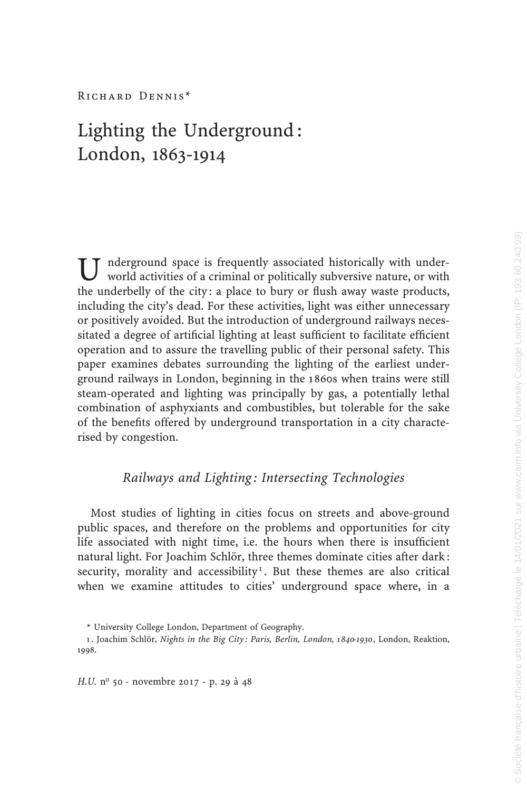# Lighting the Underground : London, 1863-1914

I I nderground space is frequently associated historically with underworld activities of a criminal or politically subversive nature, or with the underbelly of the city : a place to bury or flush away waste products, including the city's dead. For these activities, light was either unnecessary or positively avoided. But the introduction of underground railways necessitated a degree of artificial lighting at least sufficient to facilitate efficient operation and to assure the travelling public of their personal safety. This paper examines debates surrounding the lighting of the earliest underground railways in London, beginning in the 1860s when trains were still steam-operated and lighting was principally by gas, a potentially lethal combination of asphyxiants and combustibles, but tolerable for the sake of the benefits offered by underground transportation in a city characterised by congestion.

### Railways and Lighting : Intersecting Technologies

Most studies of lighting in cities focus on streets and above-ground public spaces, and therefore on the problems and opportunities for city life associated with night time, i.e. the hours when there is insufficient natural light. For Joachim Schlör, three themes dominate cities after dark: security, morality and accessibility<sup>1</sup>. But these themes are also critical when we examine attitudes to cities' underground space where, in a

H.U. nº 50 - novembre 2017 - p. 29 à 48

<sup>\*</sup> University College London, Department of Geography.

<sup>1.</sup> Joachim Schlör, Nights in the Big City: Paris, Berlin, London, 1840-1930, London, Reaktion, 1998.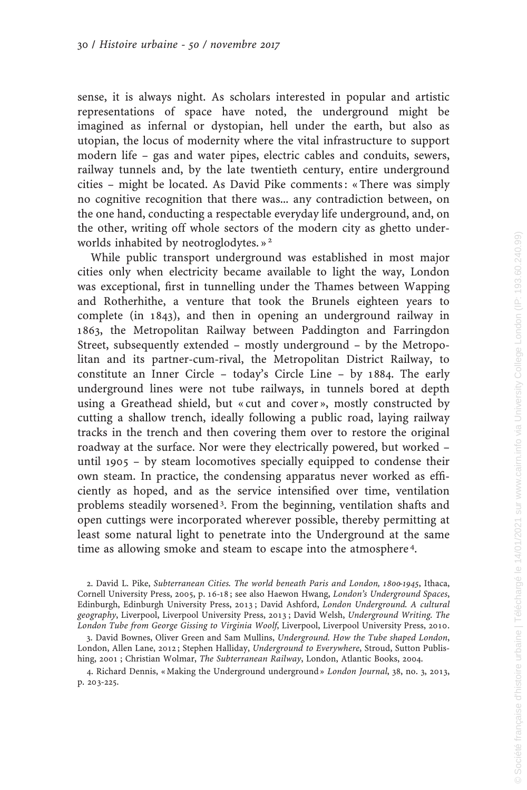sense, it is always night. As scholars interested in popular and artistic representations of space have noted, the underground might be imagined as infernal or dystopian, hell under the earth, but also as utopian, the locus of modernity where the vital infrastructure to support modern life – gas and water pipes, electric cables and conduits, sewers, railway tunnels and, by the late twentieth century, entire underground cities – might be located. As David Pike comments : « There was simply no cognitive recognition that there was... any contradiction between, on the one hand, conducting a respectable everyday life underground, and, on the other, writing off whole sectors of the modern city as ghetto underworlds inhabited by neotroglodytes.»<sup>2</sup>

While public transport underground was established in most major cities only when electricity became available to light the way, London was exceptional, first in tunnelling under the Thames between Wapping and Rotherhithe, a venture that took the Brunels eighteen years to complete (in 1843), and then in opening an underground railway in 1863, the Metropolitan Railway between Paddington and Farringdon Street, subsequently extended – mostly underground – by the Metropolitan and its partner-cum-rival, the Metropolitan District Railway, to constitute an Inner Circle – today's Circle Line – by 1884. The early underground lines were not tube railways, in tunnels bored at depth using a Greathead shield, but « cut and cover », mostly constructed by cutting a shallow trench, ideally following a public road, laying railway tracks in the trench and then covering them over to restore the original roadway at the surface. Nor were they electrically powered, but worked – until 1905 – by steam locomotives specially equipped to condense their own steam. In practice, the condensing apparatus never worked as efficiently as hoped, and as the service intensified over time, ventilation problems steadily worsened<sup>3</sup>. From the beginning, ventilation shafts and open cuttings were incorporated wherever possible, thereby permitting at least some natural light to penetrate into the Underground at the same time as allowing smoke and steam to escape into the atmosphere <sup>4</sup> .

2. David L. Pike, Subterranean Cities. The world beneath Paris and London, 1800-1945, Ithaca, Cornell University Press, 2005, p. 16-18 ; see also Haewon Hwang, London's Underground Spaces, Edinburgh, Edinburgh University Press, 2013 ; David Ashford, London Underground. A cultural geography, Liverpool, Liverpool University Press, 2013 ; David Welsh, Underground Writing. The London Tube from George Gissing to Virginia Woolf, Liverpool, Liverpool University Press, 2010.

4. Richard Dennis, « Making the Underground underground » London Journal, 38, no. 3, 2013, p. 203-225.

<sup>3.</sup> David Bownes, Oliver Green and Sam Mullins, Underground. How the Tube shaped London, London, Allen Lane, 2012; Stephen Halliday, Underground to Everywhere, Stroud, Sutton Publishing, 2001 ; Christian Wolmar, The Subterranean Railway, London, Atlantic Books, 2004.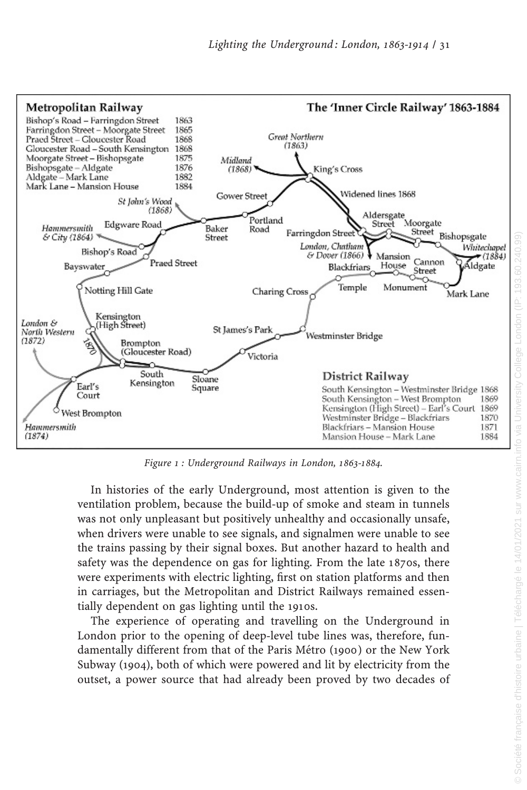

Figure 1 : Underground Railways in London, 1863-1884.

In histories of the early Underground, most attention is given to the ventilation problem, because the build-up of smoke and steam in tunnels was not only unpleasant but positively unhealthy and occasionally unsafe, when drivers were unable to see signals, and signalmen were unable to see the trains passing by their signal boxes. But another hazard to health and safety was the dependence on gas for lighting. From the late 1870s, there were experiments with electric lighting, first on station platforms and then in carriages, but the Metropolitan and District Railways remained essentially dependent on gas lighting until the 1910s.

The experience of operating and travelling on the Underground in London prior to the opening of deep-level tube lines was, therefore, fundamentally different from that of the Paris Métro (1900) or the New York Subway (1904), both of which were powered and lit by electricity from the outset, a power source that had already been proved by two decades of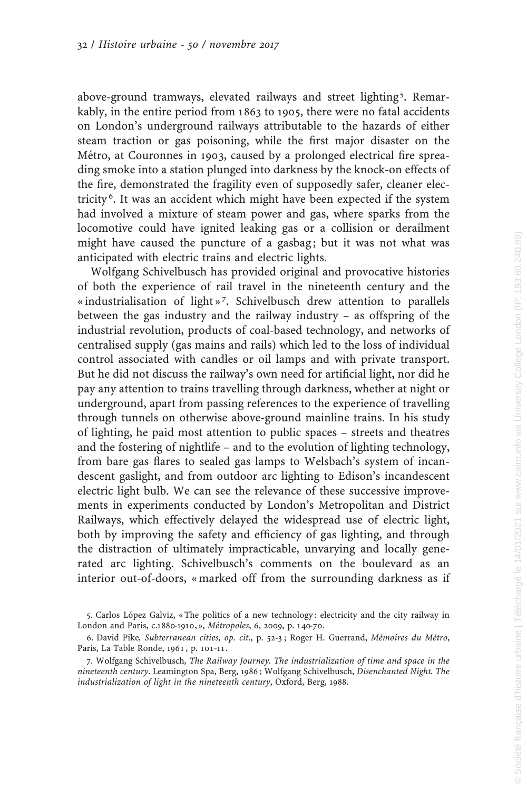above-ground tramways, elevated railways and street lighting<sup>5</sup>. Remarkably, in the entire period from 1863 to 1905, there were no fatal accidents on London's underground railways attributable to the hazards of either steam traction or gas poisoning, while the first major disaster on the Métro, at Couronnes in 1903, caused by a prolonged electrical fire spreading smoke into a station plunged into darkness by the knock-on effects of the fire, demonstrated the fragility even of supposedly safer, cleaner electricity<sup>6</sup>. It was an accident which might have been expected if the system had involved a mixture of steam power and gas, where sparks from the locomotive could have ignited leaking gas or a collision or derailment might have caused the puncture of a gasbag; but it was not what was anticipated with electric trains and electric lights.

Wolfgang Schivelbusch has provided original and provocative histories of both the experience of rail travel in the nineteenth century and the «industrialisation of light»<sup>7</sup>. Schivelbusch drew attention to parallels between the gas industry and the railway industry – as offspring of the industrial revolution, products of coal-based technology, and networks of centralised supply (gas mains and rails) which led to the loss of individual control associated with candles or oil lamps and with private transport. But he did not discuss the railway's own need for artificial light, nor did he pay any attention to trains travelling through darkness, whether at night or underground, apart from passing references to the experience of travelling through tunnels on otherwise above-ground mainline trains. In his study of lighting, he paid most attention to public spaces – streets and theatres and the fostering of nightlife – and to the evolution of lighting technology, from bare gas flares to sealed gas lamps to Welsbach's system of incandescent gaslight, and from outdoor arc lighting to Edison's incandescent electric light bulb. We can see the relevance of these successive improvements in experiments conducted by London's Metropolitan and District Railways, which effectively delayed the widespread use of electric light, both by improving the safety and efficiency of gas lighting, and through the distraction of ultimately impracticable, unvarying and locally generated arc lighting. Schivelbusch's comments on the boulevard as an interior out-of-doors, « marked off from the surrounding darkness as if

<sup>5.</sup> Carlos López Galviz, « The politics of a new technology: electricity and the city railway in London and Paris, c.1880-1910, », Métropoles, 6, 2009, p. 140-70.

<sup>6.</sup> David Pike, Subterranean cities, op. cit., p. 52-3; Roger H. Guerrand, Mémoires du Métro, Paris, La Table Ronde, 1961 , p. 101-11 .

<sup>7.</sup> Wolfgang Schivelbusch, The Railway Journey. The industrialization of time and space in the nineteenth century. Leamington Spa, Berg, 1986 ; Wolfgang Schivelbusch, Disenchanted Night. The industrialization of light in the nineteenth century, Oxford, Berg, 1988.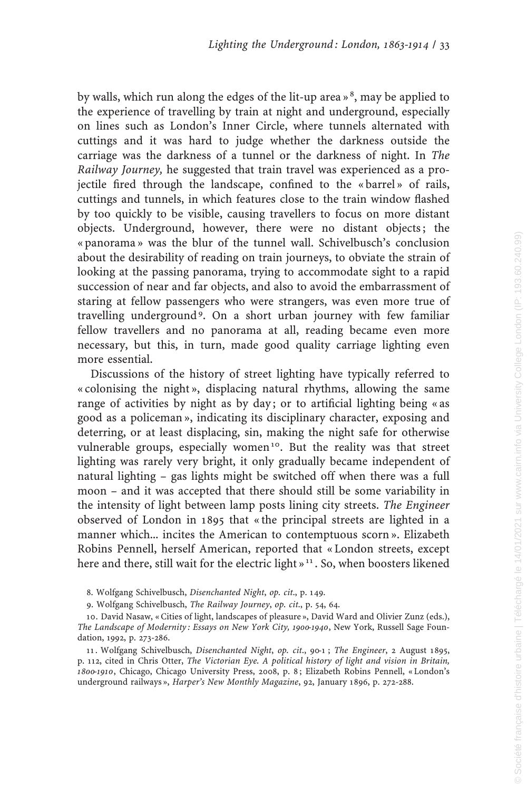by walls, which run along the edges of the lit-up area »<sup>8</sup>, may be applied to the experience of travelling by train at night and underground, especially on lines such as London's Inner Circle, where tunnels alternated with cuttings and it was hard to judge whether the darkness outside the carriage was the darkness of a tunnel or the darkness of night. In The Railway Journey, he suggested that train travel was experienced as a projectile fired through the landscape, confined to the « barrel » of rails, cuttings and tunnels, in which features close to the train window flashed by too quickly to be visible, causing travellers to focus on more distant objects. Underground, however, there were no distant objects ; the « panorama » was the blur of the tunnel wall. Schivelbusch's conclusion about the desirability of reading on train journeys, to obviate the strain of looking at the passing panorama, trying to accommodate sight to a rapid succession of near and far objects, and also to avoid the embarrassment of staring at fellow passengers who were strangers, was even more true of travelling underground<sup>9</sup>. On a short urban journey with few familiar fellow travellers and no panorama at all, reading became even more necessary, but this, in turn, made good quality carriage lighting even more essential.

Discussions of the history of street lighting have typically referred to « colonising the night », displacing natural rhythms, allowing the same range of activities by night as by day; or to artificial lighting being « as good as a policeman », indicating its disciplinary character, exposing and deterring, or at least displacing, sin, making the night safe for otherwise vulnerable groups, especially women<sup>10</sup>. But the reality was that street lighting was rarely very bright, it only gradually became independent of natural lighting – gas lights might be switched off when there was a full moon – and it was accepted that there should still be some variability in the intensity of light between lamp posts lining city streets. The Engineer observed of London in 1895 that « the principal streets are lighted in a manner which... incites the American to contemptuous scorn ». Elizabeth Robins Pennell, herself American, reported that « London streets, except here and there, still wait for the electric light  $v^{11}$ . So, when boosters likened

<sup>8.</sup> Wolfgang Schivelbusch, Disenchanted Night, op. cit., p. 149.

<sup>9.</sup> Wolfgang Schivelbusch, The Railway Journey, op. cit., p. 54, 64.

<sup>10.</sup> David Nasaw, « Cities of light, landscapes of pleasure », David Ward and Olivier Zunz (eds.), The Landscape of Modernity : Essays on New York City, 1900-1940, New York, Russell Sage Foundation, 1992, p. 273-286.

<sup>11 .</sup> Wolfgang Schivelbusch, Disenchanted Night, op. cit., 90-1 ; The Engineer, 2 August 1895, p. 112, cited in Chris Otter, The Victorian Eye. A political history of light and vision in Britain, 1800-1910, Chicago, Chicago University Press, 2008, p. 8 ; Elizabeth Robins Pennell, « London's underground railways », Harper's New Monthly Magazine, 92, January 1896, p. 272-288.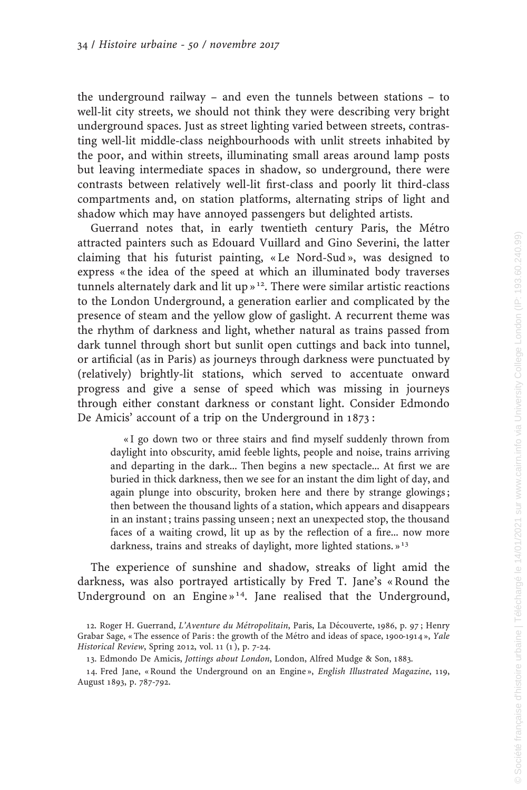the underground railway – and even the tunnels between stations – to well-lit city streets, we should not think they were describing very bright underground spaces. Just as street lighting varied between streets, contrasting well-lit middle-class neighbourhoods with unlit streets inhabited by the poor, and within streets, illuminating small areas around lamp posts but leaving intermediate spaces in shadow, so underground, there were contrasts between relatively well-lit first-class and poorly lit third-class compartments and, on station platforms, alternating strips of light and shadow which may have annoyed passengers but delighted artists.

Guerrand notes that, in early twentieth century Paris, the Métro attracted painters such as Edouard Vuillard and Gino Severini, the latter claiming that his futurist painting, « Le Nord-Sud », was designed to express « the idea of the speed at which an illuminated body traverses tunnels alternately dark and lit up  $v^{12}$ . There were similar artistic reactions to the London Underground, a generation earlier and complicated by the presence of steam and the yellow glow of gaslight. A recurrent theme was the rhythm of darkness and light, whether natural as trains passed from dark tunnel through short but sunlit open cuttings and back into tunnel, or artificial (as in Paris) as journeys through darkness were punctuated by (relatively) brightly-lit stations, which served to accentuate onward progress and give a sense of speed which was missing in journeys through either constant darkness or constant light. Consider Edmondo De Amicis' account of a trip on the Underground in 1873 :

« I go down two or three stairs and find myself suddenly thrown from daylight into obscurity, amid feeble lights, people and noise, trains arriving and departing in the dark... Then begins a new spectacle... At first we are buried in thick darkness, then we see for an instant the dim light of day, and again plunge into obscurity, broken here and there by strange glowings; then between the thousand lights of a station, which appears and disappears in an instant ; trains passing unseen ; next an unexpected stop, the thousand faces of a waiting crowd, lit up as by the reflection of a fire... now more darkness, trains and streaks of daylight, more lighted stations. »<sup>13</sup>

The experience of sunshine and shadow, streaks of light amid the darkness, was also portrayed artistically by Fred T. Jane's « Round the Underground on an Engine »<sup>14</sup>. Jane realised that the Underground,

<sup>12.</sup> Roger H. Guerrand, L'Aventure du Métropolitain, Paris, La Découverte, 1986, p. 97; Henry Grabar Sage, « The essence of Paris : the growth of the Métro and ideas of space, 1900-1914 », Yale Historical Review, Spring 2012, vol. 11 (1 ), p. 7-24.

<sup>13.</sup> Edmondo De Amicis, Jottings about London, London, Alfred Mudge & Son, 1883.

<sup>14.</sup> Fred Jane, « Round the Underground on an Engine », English Illustrated Magazine, 119, August 1893, p. 787-792.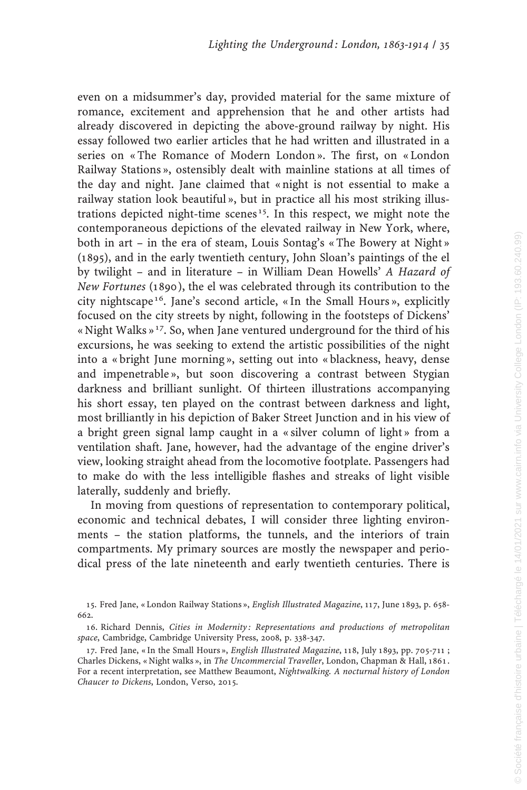even on a midsummer's day, provided material for the same mixture of romance, excitement and apprehension that he and other artists had already discovered in depicting the above-ground railway by night. His essay followed two earlier articles that he had written and illustrated in a series on « The Romance of Modern London ». The first, on « London Railway Stations », ostensibly dealt with mainline stations at all times of the day and night. Jane claimed that « night is not essential to make a railway station look beautiful », but in practice all his most striking illustrations depicted night-time scenes<sup>15</sup>. In this respect, we might note the contemporaneous depictions of the elevated railway in New York, where, both in art – in the era of steam, Louis Sontag's « The Bowery at Night » (1895), and in the early twentieth century, John Sloan's paintings of the el by twilight – and in literature – in William Dean Howells' A Hazard of New Fortunes (1890), the el was celebrated through its contribution to the city nightscape 16. Jane's second article, « In the Small Hours », explicitly focused on the city streets by night, following in the footsteps of Dickens' « Night Walks » 17. So, when Jane ventured underground for the third of his excursions, he was seeking to extend the artistic possibilities of the night into a « bright June morning », setting out into « blackness, heavy, dense and impenetrable », but soon discovering a contrast between Stygian darkness and brilliant sunlight. Of thirteen illustrations accompanying his short essay, ten played on the contrast between darkness and light, most brilliantly in his depiction of Baker Street Junction and in his view of a bright green signal lamp caught in a « silver column of light » from a ventilation shaft. Jane, however, had the advantage of the engine driver's view, looking straight ahead from the locomotive footplate. Passengers had to make do with the less intelligible flashes and streaks of light visible laterally, suddenly and briefly.

In moving from questions of representation to contemporary political, economic and technical debates, I will consider three lighting environments – the station platforms, the tunnels, and the interiors of train compartments. My primary sources are mostly the newspaper and periodical press of the late nineteenth and early twentieth centuries. There is

<sup>15.</sup> Fred Jane, « London Railway Stations », English Illustrated Magazine, 117, June 1893, p. 658- 662.

<sup>16.</sup> Richard Dennis, Cities in Modernity: Representations and productions of metropolitan space, Cambridge, Cambridge University Press, 2008, p. 338-347.

<sup>17.</sup> Fred Jane, « In the Small Hours », English Illustrated Magazine, 118, July 1893, pp. 705-711 ; Charles Dickens, « Night walks », in The Uncommercial Traveller, London, Chapman & Hall, 1861 . For a recent interpretation, see Matthew Beaumont, Nightwalking. A nocturnal history of London Chaucer to Dickens, London, Verso, 2015.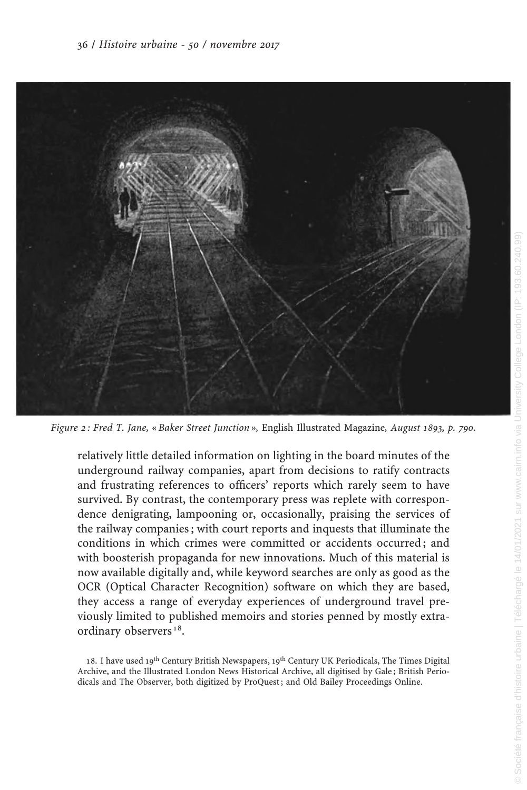

Figure 2 : Fred T. Jane, « Baker Street Junction », English Illustrated Magazine, August 1893, p. 790.

relatively little detailed information on lighting in the board minutes of the underground railway companies, apart from decisions to ratify contracts and frustrating references to officers' reports which rarely seem to have survived. By contrast, the contemporary press was replete with correspondence denigrating, lampooning or, occasionally, praising the services of the railway companies ; with court reports and inquests that illuminate the conditions in which crimes were committed or accidents occurred; and with boosterish propaganda for new innovations. Much of this material is now available digitally and, while keyword searches are only as good as the OCR (Optical Character Recognition) software on which they are based, they access a range of everyday experiences of underground travel previously limited to published memoirs and stories penned by mostly extraordinary observers<sup>18</sup>.

18. I have used 19<sup>th</sup> Century British Newspapers, 19<sup>th</sup> Century UK Periodicals, The Times Digital Archive, and the Illustrated London News Historical Archive, all digitised by Gale ; British Periodicals and The Observer, both digitized by ProQuest ; and Old Bailey Proceedings Online.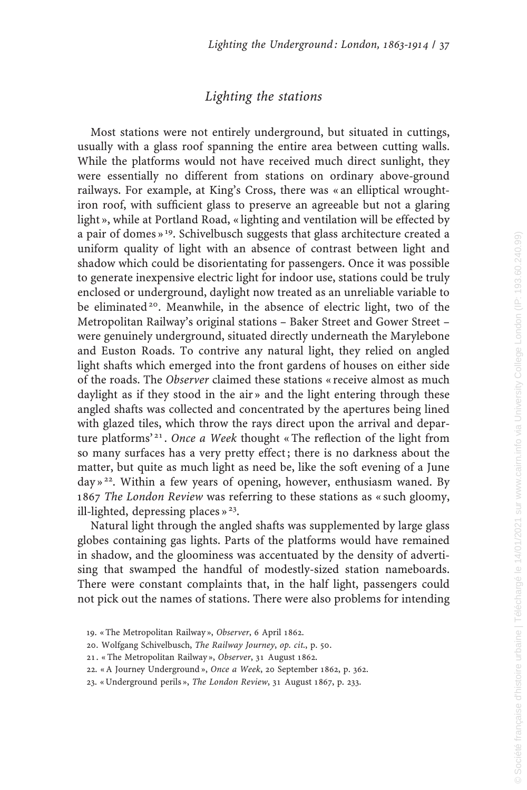## Lighting the stations

Most stations were not entirely underground, but situated in cuttings, usually with a glass roof spanning the entire area between cutting walls. While the platforms would not have received much direct sunlight, they were essentially no different from stations on ordinary above-ground railways. For example, at King's Cross, there was « an elliptical wroughtiron roof, with sufficient glass to preserve an agreeable but not a glaring light », while at Portland Road, « lighting and ventilation will be effected by a pair of domes » 19. Schivelbusch suggests that glass architecture created a uniform quality of light with an absence of contrast between light and shadow which could be disorientating for passengers. Once it was possible to generate inexpensive electric light for indoor use, stations could be truly enclosed or underground, daylight now treated as an unreliable variable to be eliminated<sup>20</sup>. Meanwhile, in the absence of electric light, two of the Metropolitan Railway's original stations – Baker Street and Gower Street – were genuinely underground, situated directly underneath the Marylebone and Euston Roads. To contrive any natural light, they relied on angled light shafts which emerged into the front gardens of houses on either side of the roads. The Observer claimed these stations « receive almost as much daylight as if they stood in the air » and the light entering through these angled shafts was collected and concentrated by the apertures being lined with glazed tiles, which throw the rays direct upon the arrival and departure platforms'<sup>21</sup>. Once a Week thought « The reflection of the light from so many surfaces has a very pretty effect ; there is no darkness about the matter, but quite as much light as need be, like the soft evening of a June day » 22. Within a few years of opening, however, enthusiasm waned. By 1867 The London Review was referring to these stations as « such gloomy, ill-lighted, depressing places  $v^{23}$ .

Natural light through the angled shafts was supplemented by large glass globes containing gas lights. Parts of the platforms would have remained in shadow, and the gloominess was accentuated by the density of advertising that swamped the handful of modestly-sized station nameboards. There were constant complaints that, in the half light, passengers could not pick out the names of stations. There were also problems for intending

21 . « The Metropolitan Railway », Observer, 31 August 1862.

<sup>19. «</sup> The Metropolitan Railway », Observer, 6 April 1862.

<sup>20.</sup> Wolfgang Schivelbusch, The Railway Journey, op. cit., p. 50.

<sup>22. «</sup> A Journey Underground », Once a Week, 20 September 1862, p. 362.

<sup>23. «</sup> Underground perils », The London Review, 31 August 1867, p. 233.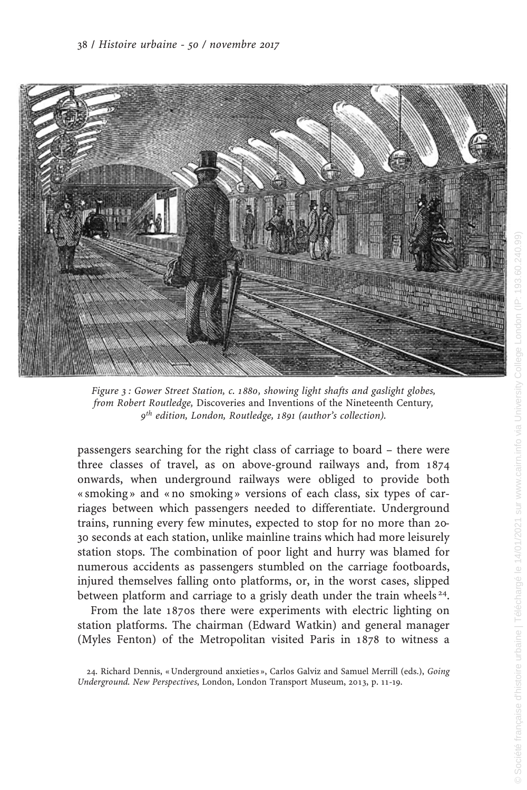

Figure 3 : Gower Street Station, c. 1880, showing light shafts and gaslight globes, from Robert Routledge, Discoveries and Inventions of the Nineteenth Century, 9th edition, London, Routledge, 1891 (author's collection).

passengers searching for the right class of carriage to board – there were three classes of travel, as on above-ground railways and, from 1874 onwards, when underground railways were obliged to provide both « smoking » and « no smoking » versions of each class, six types of carriages between which passengers needed to differentiate. Underground trains, running every few minutes, expected to stop for no more than 20- 30 seconds at each station, unlike mainline trains which had more leisurely station stops. The combination of poor light and hurry was blamed for numerous accidents as passengers stumbled on the carriage footboards, injured themselves falling onto platforms, or, in the worst cases, slipped between platform and carriage to a grisly death under the train wheels<sup>24</sup>.

From the late 1870s there were experiments with electric lighting on station platforms. The chairman (Edward Watkin) and general manager (Myles Fenton) of the Metropolitan visited Paris in 1878 to witness a

<sup>24.</sup> Richard Dennis, « Underground anxieties », Carlos Galviz and Samuel Merrill (eds.), Going Underground. New Perspectives, London, London Transport Museum, 2013, p. 11-19.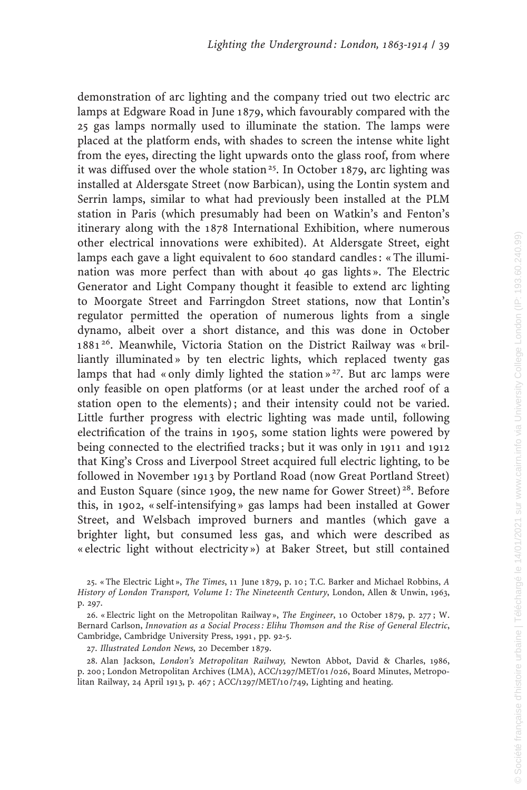demonstration of arc lighting and the company tried out two electric arc lamps at Edgware Road in June 1879, which favourably compared with the 25 gas lamps normally used to illuminate the station. The lamps were placed at the platform ends, with shades to screen the intense white light from the eyes, directing the light upwards onto the glass roof, from where it was diffused over the whole station<sup>25</sup>. In October 1879, arc lighting was installed at Aldersgate Street (now Barbican), using the Lontin system and Serrin lamps, similar to what had previously been installed at the PLM station in Paris (which presumably had been on Watkin's and Fenton's itinerary along with the 1878 International Exhibition, where numerous other electrical innovations were exhibited). At Aldersgate Street, eight lamps each gave a light equivalent to 600 standard candles : « The illumination was more perfect than with about 40 gas lights ». The Electric Generator and Light Company thought it feasible to extend arc lighting to Moorgate Street and Farringdon Street stations, now that Lontin's regulator permitted the operation of numerous lights from a single dynamo, albeit over a short distance, and this was done in October 1881<sup>26</sup>. Meanwhile, Victoria Station on the District Railway was « brilliantly illuminated » by ten electric lights, which replaced twenty gas lamps that had « only dimly lighted the station »<sup>27</sup>. But arc lamps were only feasible on open platforms (or at least under the arched roof of a station open to the elements) ; and their intensity could not be varied. Little further progress with electric lighting was made until, following electrification of the trains in 1905, some station lights were powered by being connected to the electrified tracks ; but it was only in 1911 and 1912 that King's Cross and Liverpool Street acquired full electric lighting, to be followed in November 1913 by Portland Road (now Great Portland Street) and Euston Square (since 1909, the new name for Gower Street)<sup>28</sup>. Before this, in 1902, « self-intensifying » gas lamps had been installed at Gower Street, and Welsbach improved burners and mantles (which gave a brighter light, but consumed less gas, and which were described as « electric light without electricity ») at Baker Street, but still contained

<sup>25. «</sup> The Electric Light », The Times, 11 June 1879, p. 10 ; T.C. Barker and Michael Robbins, A History of London Transport, Volume I: The Nineteenth Century, London, Allen & Unwin, 1963, p. 297.

<sup>26. «</sup> Electric light on the Metropolitan Railway », The Engineer, 10 October 1879, p. 277 ; W. Bernard Carlson, Innovation as a Social Process: Elihu Thomson and the Rise of General Electric, Cambridge, Cambridge University Press, 1991 , pp. 92-5.

<sup>27.</sup> Illustrated London News, 20 December 1879.

<sup>28.</sup> Alan Jackson, London's Metropolitan Railway, Newton Abbot, David & Charles, 1986, p. 200 ; London Metropolitan Archives (LMA), ACC/1297/MET/01 /026, Board Minutes, Metropolitan Railway, 24 April 1913, p. 467 ; ACC/1297/MET/10 /749, Lighting and heating.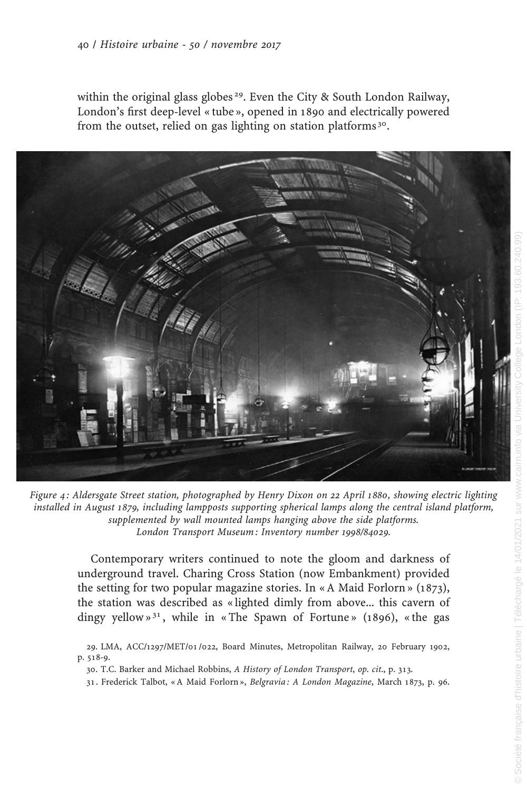within the original glass globes<sup>29</sup>. Even the City & South London Railway, London's first deep-level « tube », opened in 1890 and electrically powered from the outset, relied on gas lighting on station platforms<sup>30</sup>.



Figure 4 : Aldersgate Street station, photographed by Henry Dixon on 22 April 1880, showing electric lighting installed in August 1879, including lampposts supporting spherical lamps along the central island platform, supplemented by wall mounted lamps hanging above the side platforms. London Transport Museum : Inventory number 1998/84029.

Contemporary writers continued to note the gloom and darkness of underground travel. Charing Cross Station (now Embankment) provided the setting for two popular magazine stories. In « A Maid Forlorn » (1873), the station was described as « lighted dimly from above... this cavern of dingy yellow  $x^{31}$ , while in « The Spawn of Fortune » (1896), « the gas

<sup>29.</sup> LMA, ACC/1297/MET/01 /022, Board Minutes, Metropolitan Railway, 20 February 1902, p. 518-9.

<sup>30.</sup> T.C. Barker and Michael Robbins, A History of London Transport, op. cit., p. 313.

<sup>31 .</sup> Frederick Talbot, « A Maid Forlorn », Belgravia : A London Magazine, March 1873, p. 96.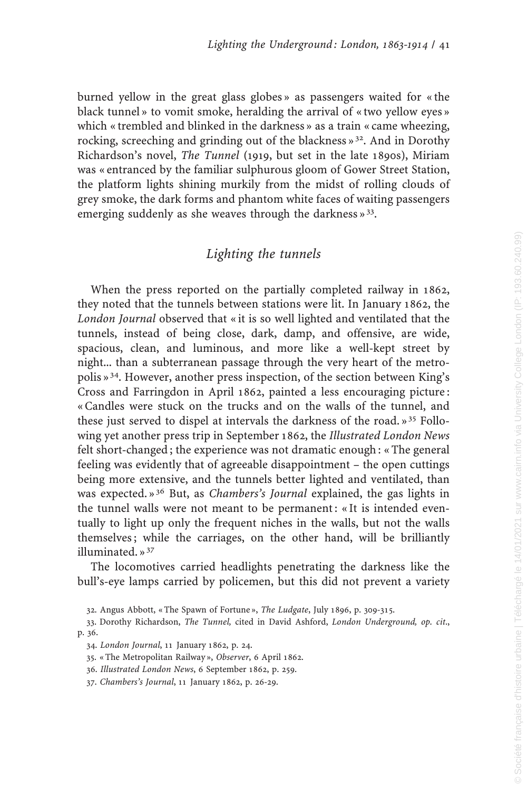burned yellow in the great glass globes » as passengers waited for « the black tunnel » to vomit smoke, heralding the arrival of « two yellow eyes » which « trembled and blinked in the darkness » as a train « came wheezing, rocking, screeching and grinding out of the blackness » 32. And in Dorothy Richardson's novel, The Tunnel (1919, but set in the late 1890s), Miriam was « entranced by the familiar sulphurous gloom of Gower Street Station, the platform lights shining murkily from the midst of rolling clouds of grey smoke, the dark forms and phantom white faces of waiting passengers emerging suddenly as she weaves through the darkness »<sup>33</sup>.

## Lighting the tunnels

When the press reported on the partially completed railway in 1862, they noted that the tunnels between stations were lit. In January 1862, the London Journal observed that « it is so well lighted and ventilated that the tunnels, instead of being close, dark, damp, and offensive, are wide, spacious, clean, and luminous, and more like a well-kept street by night... than a subterranean passage through the very heart of the metropolis » 34. However, another press inspection, of the section between King's Cross and Farringdon in April 1862, painted a less encouraging picture : « Candles were stuck on the trucks and on the walls of the tunnel, and these just served to dispel at intervals the darkness of the road. » <sup>35</sup> Following yet another press trip in September 1862, the Illustrated London News felt short-changed ; the experience was not dramatic enough : « The general feeling was evidently that of agreeable disappointment – the open cuttings being more extensive, and the tunnels better lighted and ventilated, than was expected. »<sup>36</sup> But, as *Chambers's Journal* explained, the gas lights in the tunnel walls were not meant to be permanent : « It is intended eventually to light up only the frequent niches in the walls, but not the walls themselves ; while the carriages, on the other hand, will be brilliantly illuminated. » <sup>37</sup>

The locomotives carried headlights penetrating the darkness like the bull's-eye lamps carried by policemen, but this did not prevent a variety

- 35. « The Metropolitan Railway », Observer, 6 April 1862.
- 36. Illustrated London News, 6 September 1862, p. 259.
- 37. Chambers's Journal, 11 January 1862, p. 26-29.

<sup>32.</sup> Angus Abbott, « The Spawn of Fortune », The Ludgate, July 1896, p. 309-315.

<sup>33.</sup> Dorothy Richardson, The Tunnel, cited in David Ashford, London Underground, op. cit., p. 36.

<sup>34.</sup> London Journal, 11 January 1862, p. 24.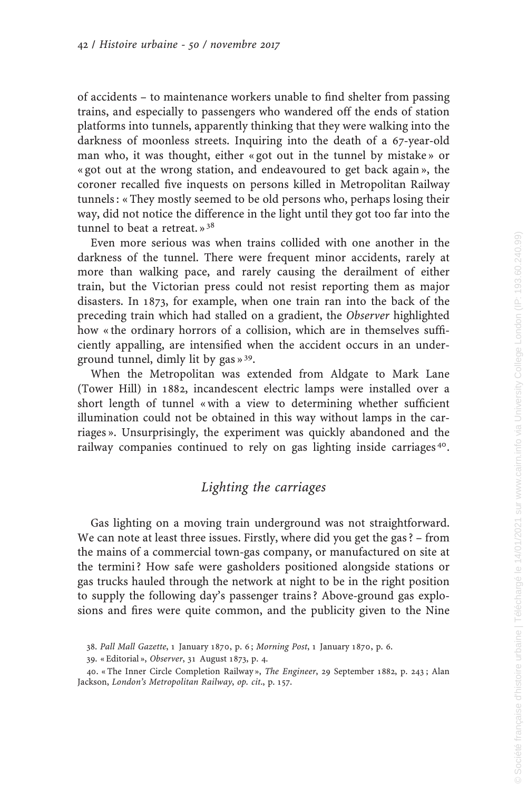of accidents – to maintenance workers unable to find shelter from passing trains, and especially to passengers who wandered off the ends of station platforms into tunnels, apparently thinking that they were walking into the darkness of moonless streets. Inquiring into the death of a 67-year-old man who, it was thought, either « got out in the tunnel by mistake » or « got out at the wrong station, and endeavoured to get back again », the coroner recalled five inquests on persons killed in Metropolitan Railway tunnels : « They mostly seemed to be old persons who, perhaps losing their way, did not notice the difference in the light until they got too far into the tunnel to beat a retreat. »<sup>38</sup>

Even more serious was when trains collided with one another in the darkness of the tunnel. There were frequent minor accidents, rarely at more than walking pace, and rarely causing the derailment of either train, but the Victorian press could not resist reporting them as major disasters. In 1873, for example, when one train ran into the back of the preceding train which had stalled on a gradient, the Observer highlighted how « the ordinary horrors of a collision, which are in themselves sufficiently appalling, are intensified when the accident occurs in an underground tunnel, dimly lit by gas » 39.

When the Metropolitan was extended from Aldgate to Mark Lane (Tower Hill) in 1882, incandescent electric lamps were installed over a short length of tunnel « with a view to determining whether sufficient illumination could not be obtained in this way without lamps in the carriages ». Unsurprisingly, the experiment was quickly abandoned and the railway companies continued to rely on gas lighting inside carriages<sup>40</sup>.

## Lighting the carriages

Gas lighting on a moving train underground was not straightforward. We can note at least three issues. Firstly, where did you get the gas ? – from the mains of a commercial town-gas company, or manufactured on site at the termini ? How safe were gasholders positioned alongside stations or gas trucks hauled through the network at night to be in the right position to supply the following day's passenger trains ? Above-ground gas explosions and fires were quite common, and the publicity given to the Nine

<sup>38.</sup> Pall Mall Gazette, 1 January 1870, p. 6 ; Morning Post, 1 January 1870, p. 6.

<sup>39. «</sup> Editorial », Observer, 31 August 1873, p. 4.

<sup>40. «</sup> The Inner Circle Completion Railway », The Engineer, 29 September 1882, p. 243 ; Alan Jackson, London's Metropolitan Railway, op. cit., p. 157.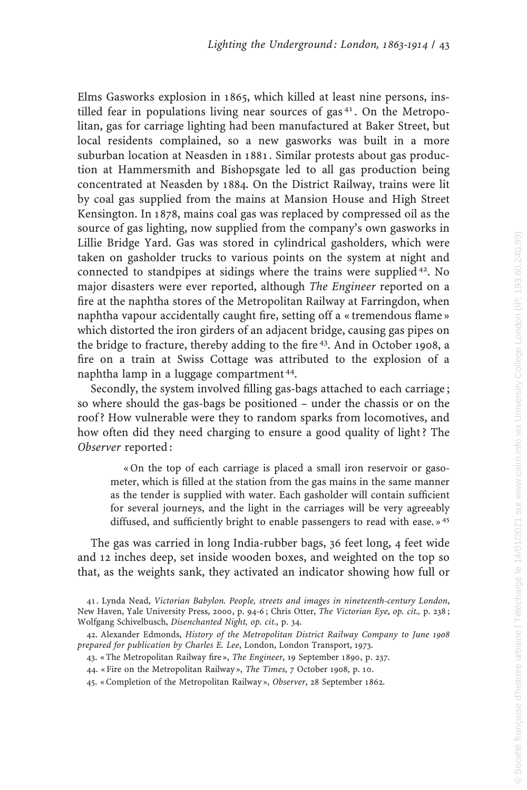Elms Gasworks explosion in 1865, which killed at least nine persons, instilled fear in populations living near sources of gas<sup> $41$ </sup>. On the Metropolitan, gas for carriage lighting had been manufactured at Baker Street, but local residents complained, so a new gasworks was built in a more suburban location at Neasden in 1881 . Similar protests about gas production at Hammersmith and Bishopsgate led to all gas production being concentrated at Neasden by 1884. On the District Railway, trains were lit by coal gas supplied from the mains at Mansion House and High Street Kensington. In 1878, mains coal gas was replaced by compressed oil as the source of gas lighting, now supplied from the company's own gasworks in Lillie Bridge Yard. Gas was stored in cylindrical gasholders, which were taken on gasholder trucks to various points on the system at night and connected to standpipes at sidings where the trains were supplied<sup>42</sup>. No major disasters were ever reported, although The Engineer reported on a fire at the naphtha stores of the Metropolitan Railway at Farringdon, when naphtha vapour accidentally caught fire, setting off a « tremendous flame » which distorted the iron girders of an adjacent bridge, causing gas pipes on the bridge to fracture, thereby adding to the fire<sup>43</sup>. And in October 1908, a fire on a train at Swiss Cottage was attributed to the explosion of a naphtha lamp in a luggage compartment 44.

Secondly, the system involved filling gas-bags attached to each carriage ; so where should the gas-bags be positioned – under the chassis or on the roof ? How vulnerable were they to random sparks from locomotives, and how often did they need charging to ensure a good quality of light ? The Observer reported :

« On the top of each carriage is placed a small iron reservoir or gasometer, which is filled at the station from the gas mains in the same manner as the tender is supplied with water. Each gasholder will contain sufficient for several journeys, and the light in the carriages will be very agreeably diffused, and sufficiently bright to enable passengers to read with ease.»<sup>45</sup>

The gas was carried in long India-rubber bags, 36 feet long, 4 feet wide and 12 inches deep, set inside wooden boxes, and weighted on the top so that, as the weights sank, they activated an indicator showing how full or

<sup>41 .</sup> Lynda Nead, Victorian Babylon. People, streets and images in nineteenth-century London, New Haven, Yale University Press, 2000, p. 94-6 ; Chris Otter, The Victorian Eye, op. cit., p. 238 ; Wolfgang Schivelbusch, Disenchanted Night, op. cit., p. 34.

<sup>42.</sup> Alexander Edmonds, History of the Metropolitan District Railway Company to June 1908 prepared for publication by Charles E. Lee, London, London Transport, 1973.

<sup>43. «</sup> The Metropolitan Railway fire », The Engineer, 19 September 1890, p. 237.

<sup>44. «</sup> Fire on the Metropolitan Railway », The Times, 7 October 1908, p. 10.

<sup>45. «</sup> Completion of the Metropolitan Railway », Observer, 28 September 1862.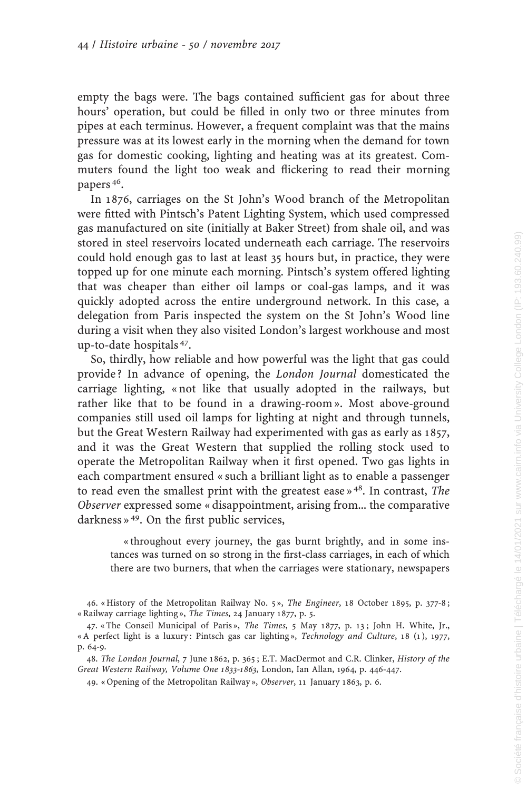empty the bags were. The bags contained sufficient gas for about three hours' operation, but could be filled in only two or three minutes from pipes at each terminus. However, a frequent complaint was that the mains pressure was at its lowest early in the morning when the demand for town gas for domestic cooking, lighting and heating was at its greatest. Commuters found the light too weak and flickering to read their morning papers 46.

In 1876, carriages on the St John's Wood branch of the Metropolitan were fitted with Pintsch's Patent Lighting System, which used compressed gas manufactured on site (initially at Baker Street) from shale oil, and was stored in steel reservoirs located underneath each carriage. The reservoirs could hold enough gas to last at least 35 hours but, in practice, they were topped up for one minute each morning. Pintsch's system offered lighting that was cheaper than either oil lamps or coal-gas lamps, and it was quickly adopted across the entire underground network. In this case, a delegation from Paris inspected the system on the St John's Wood line during a visit when they also visited London's largest workhouse and most up-to-date hospitals 47.

So, thirdly, how reliable and how powerful was the light that gas could provide ? In advance of opening, the London Journal domesticated the carriage lighting, « not like that usually adopted in the railways, but rather like that to be found in a drawing-room ». Most above-ground companies still used oil lamps for lighting at night and through tunnels, but the Great Western Railway had experimented with gas as early as 1857, and it was the Great Western that supplied the rolling stock used to operate the Metropolitan Railway when it first opened. Two gas lights in each compartment ensured « such a brilliant light as to enable a passenger to read even the smallest print with the greatest ease  $v^{48}$ . In contrast, The Observer expressed some « disappointment, arising from... the comparative darkness » 49. On the first public services,

« throughout every journey, the gas burnt brightly, and in some instances was turned on so strong in the first-class carriages, in each of which there are two burners, that when the carriages were stationary, newspapers

49. « Opening of the Metropolitan Railway », Observer, 11 January 1863, p. 6.

<sup>46. «</sup> History of the Metropolitan Railway No. 5 », The Engineer, 18 October 1895, p. 377-8 ; « Railway carriage lighting », The Times, 24 January 1877, p. 5.

<sup>47. «</sup> The Conseil Municipal of Paris », The Times, 5 May 1877, p. 13 ; John H. White, Jr., « A perfect light is a luxury : Pintsch gas car lighting », Technology and Culture, 18 (1 ), 1977, p. 64-9.

<sup>48.</sup> The London Journal, 7 June 1862, p. 365 ; E.T. MacDermot and C.R. Clinker, History of the Great Western Railway, Volume One 1833-1863, London, Ian Allan, 1964, p. 446-447.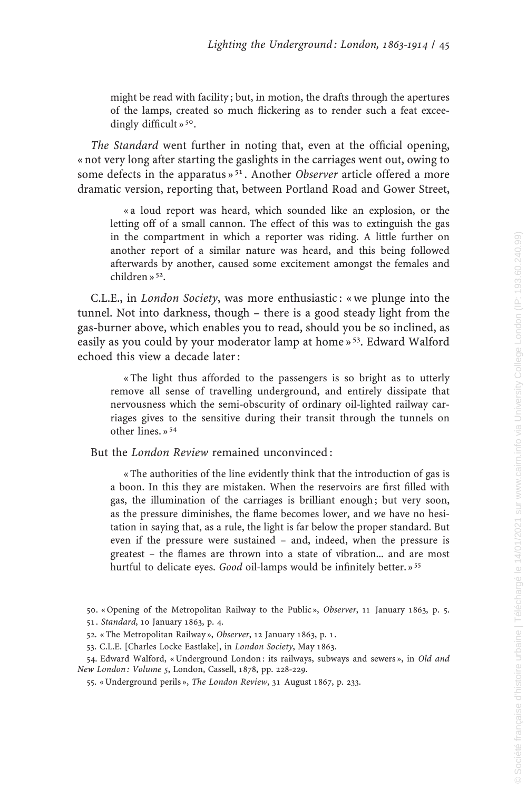might be read with facility ; but, in motion, the drafts through the apertures of the lamps, created so much flickering as to render such a feat exceedingly difficult »<sup>50</sup>.

The Standard went further in noting that, even at the official opening, « not very long after starting the gaslights in the carriages went out, owing to some defects in the apparatus »<sup>51</sup>. Another Observer article offered a more dramatic version, reporting that, between Portland Road and Gower Street,

« a loud report was heard, which sounded like an explosion, or the letting off of a small cannon. The effect of this was to extinguish the gas in the compartment in which a reporter was riding. A little further on another report of a similar nature was heard, and this being followed afterwards by another, caused some excitement amongst the females and children » 52.

C.L.E., in London Society, was more enthusiastic : « we plunge into the tunnel. Not into darkness, though – there is a good steady light from the gas-burner above, which enables you to read, should you be so inclined, as easily as you could by your moderator lamp at home » 53. Edward Walford echoed this view a decade later :

« The light thus afforded to the passengers is so bright as to utterly remove all sense of travelling underground, and entirely dissipate that nervousness which the semi-obscurity of ordinary oil-lighted railway carriages gives to the sensitive during their transit through the tunnels on other lines. » <sup>54</sup>

But the London Review remained unconvinced :

« The authorities of the line evidently think that the introduction of gas is a boon. In this they are mistaken. When the reservoirs are first filled with gas, the illumination of the carriages is brilliant enough; but very soon, as the pressure diminishes, the flame becomes lower, and we have no hesitation in saying that, as a rule, the light is far below the proper standard. But even if the pressure were sustained – and, indeed, when the pressure is greatest – the flames are thrown into a state of vibration... and are most hurtful to delicate eyes. Good oil-lamps would be infinitely better. »<sup>55</sup>

50. « Opening of the Metropolitan Railway to the Public », Observer, 11 January 1863, p. 5. 51. Standard, 10 January 1863, p. 4.

52. « The Metropolitan Railway », Observer, 12 January 1863, p. 1 .

53. C.L.E. [Charles Locke Eastlake], in London Society, May 1863.

54. Edward Walford, « Underground London : its railways, subways and sewers », in Old and New London: Volume 5, London, Cassell, 1878, pp. 228-229.

55. « Underground perils », The London Review, 31 August 1867, p. 233.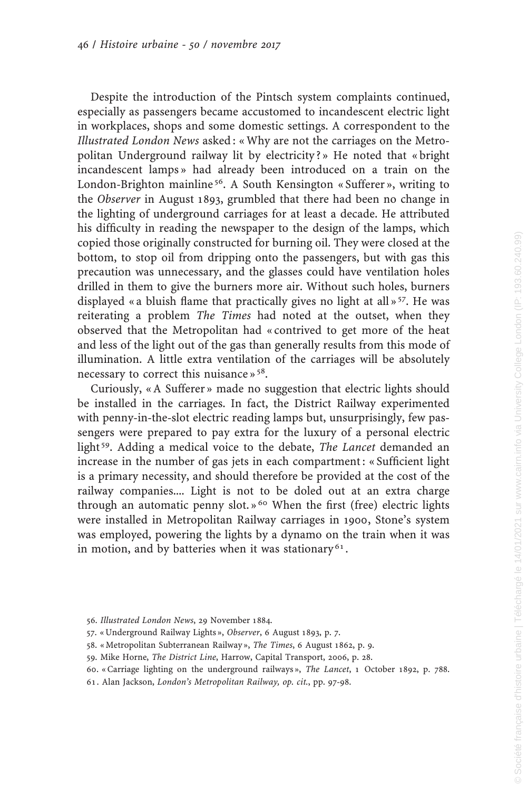Despite the introduction of the Pintsch system complaints continued, especially as passengers became accustomed to incandescent electric light in workplaces, shops and some domestic settings. A correspondent to the Illustrated London News asked : « Why are not the carriages on the Metropolitan Underground railway lit by electricity ? » He noted that « bright incandescent lamps » had already been introduced on a train on the London-Brighton mainline<sup>56</sup>. A South Kensington « Sufferer », writing to the Observer in August 1893, grumbled that there had been no change in the lighting of underground carriages for at least a decade. He attributed his difficulty in reading the newspaper to the design of the lamps, which copied those originally constructed for burning oil. They were closed at the bottom, to stop oil from dripping onto the passengers, but with gas this precaution was unnecessary, and the glasses could have ventilation holes drilled in them to give the burners more air. Without such holes, burners displayed « a bluish flame that practically gives no light at all » 57. He was reiterating a problem The Times had noted at the outset, when they observed that the Metropolitan had « contrived to get more of the heat and less of the light out of the gas than generally results from this mode of illumination. A little extra ventilation of the carriages will be absolutely necessary to correct this nuisance » 58.

Curiously, « A Sufferer » made no suggestion that electric lights should be installed in the carriages. In fact, the District Railway experimented with penny-in-the-slot electric reading lamps but, unsurprisingly, few passengers were prepared to pay extra for the luxury of a personal electric light<sup>59</sup>. Adding a medical voice to the debate, *The Lancet* demanded an increase in the number of gas jets in each compartment : « Sufficient light is a primary necessity, and should therefore be provided at the cost of the railway companies.... Light is not to be doled out at an extra charge through an automatic penny slot.  $\ast$ <sup>60</sup> When the first (free) electric lights were installed in Metropolitan Railway carriages in 1900, Stone's system was employed, powering the lights by a dynamo on the train when it was in motion, and by batteries when it was stationary<sup>61</sup>.

- 56. Illustrated London News, 29 November 1884.
- 57. « Underground Railway Lights », Observer, 6 August 1893, p. 7.
- 58. « Metropolitan Subterranean Railway », The Times, 6 August 1862, p. 9.
- 59. Mike Horne, The District Line, Harrow, Capital Transport, 2006, p. 28.
- 60. « Carriage lighting on the underground railways », The Lancet, 1 October 1892, p. 788.
- 61 . Alan Jackson, London's Metropolitan Railway, op. cit., pp. 97-98.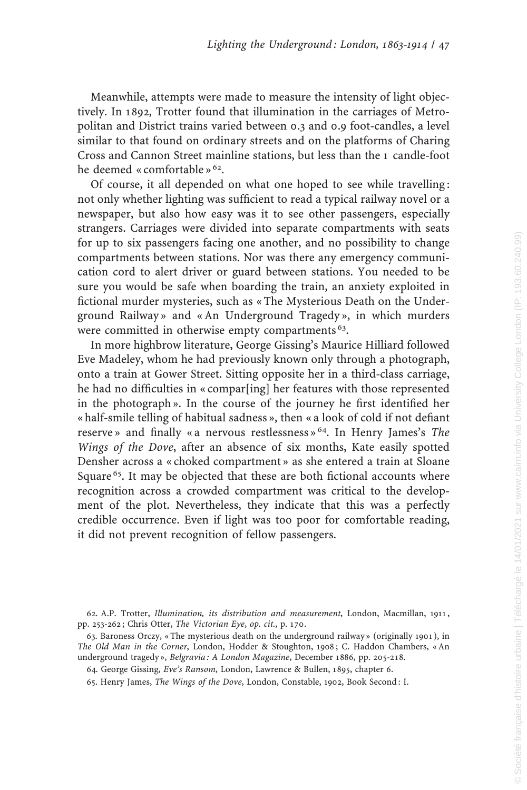Meanwhile, attempts were made to measure the intensity of light objectively. In 1892, Trotter found that illumination in the carriages of Metropolitan and District trains varied between 0.3 and 0.9 foot-candles, a level similar to that found on ordinary streets and on the platforms of Charing Cross and Cannon Street mainline stations, but less than the 1 candle-foot he deemed « comfortable » 62.

Of course, it all depended on what one hoped to see while travelling : not only whether lighting was sufficient to read a typical railway novel or a newspaper, but also how easy was it to see other passengers, especially strangers. Carriages were divided into separate compartments with seats for up to six passengers facing one another, and no possibility to change compartments between stations. Nor was there any emergency communication cord to alert driver or guard between stations. You needed to be sure you would be safe when boarding the train, an anxiety exploited in fictional murder mysteries, such as « The Mysterious Death on the Underground Railway » and « An Underground Tragedy », in which murders were committed in otherwise empty compartments<sup>63</sup>.

In more highbrow literature, George Gissing's Maurice Hilliard followed Eve Madeley, whom he had previously known only through a photograph, onto a train at Gower Street. Sitting opposite her in a third-class carriage, he had no difficulties in « compar[ing] her features with those represented in the photograph ». In the course of the journey he first identified her « half-smile telling of habitual sadness », then « a look of cold if not defiant reserve » and finally « a nervous restlessness » 64. In Henry James's The Wings of the Dove, after an absence of six months, Kate easily spotted Densher across a « choked compartment » as she entered a train at Sloane Square<sup>65</sup>. It may be objected that these are both fictional accounts where recognition across a crowded compartment was critical to the development of the plot. Nevertheless, they indicate that this was a perfectly credible occurrence. Even if light was too poor for comfortable reading, it did not prevent recognition of fellow passengers.

64. George Gissing, Eve's Ransom, London, Lawrence & Bullen, 1895, chapter 6.

65. Henry James, The Wings of the Dove, London, Constable, 1902, Book Second : I.

<sup>62.</sup> A.P. Trotter, Illumination, its distribution and measurement, London, Macmillan, 1911 , pp. 253-262 ; Chris Otter, The Victorian Eye, op. cit., p. 170.

<sup>63.</sup> Baroness Orczy, « The mysterious death on the underground railway » (originally 1901 ), in The Old Man in the Corner, London, Hodder & Stoughton, 1908 ; C. Haddon Chambers, « An underground tragedy », Belgravia : A London Magazine, December 1886, pp. 205-218.